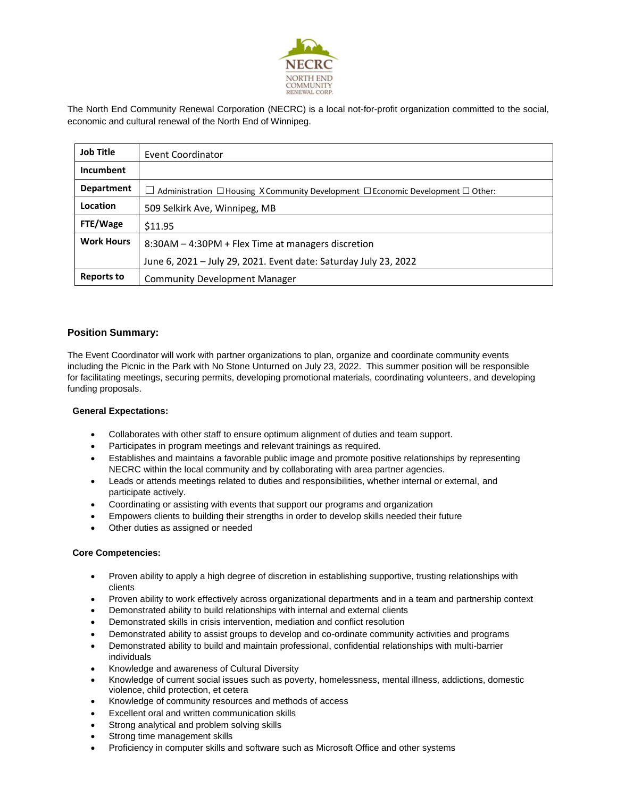

The North End Community Renewal Corporation (NECRC) is a local not-for-profit organization committed to the social, economic and cultural renewal of the North End of Winnipeg.

| <b>Job Title</b>  | Event Coordinator                                                                                      |
|-------------------|--------------------------------------------------------------------------------------------------------|
| Incumbent         |                                                                                                        |
| <b>Department</b> | $\Box$ Administration $\Box$ Housing X Community Development $\Box$ Economic Development $\Box$ Other: |
| Location          | 509 Selkirk Ave, Winnipeg, MB                                                                          |
| FTE/Wage          | \$11.95                                                                                                |
| <b>Work Hours</b> | 8:30AM – 4:30PM + Flex Time at managers discretion                                                     |
|                   | June 6, 2021 - July 29, 2021. Event date: Saturday July 23, 2022                                       |
| <b>Reports to</b> | Community Development Manager                                                                          |

# **Position Summary:**

The Event Coordinator will work with partner organizations to plan, organize and coordinate community events including the Picnic in the Park with No Stone Unturned on July 23, 2022. This summer position will be responsible for facilitating meetings, securing permits, developing promotional materials, coordinating volunteers, and developing funding proposals.

### **General Expectations:**

- Collaborates with other staff to ensure optimum alignment of duties and team support.
- Participates in program meetings and relevant trainings as required.
- Establishes and maintains a favorable public image and promote positive relationships by representing NECRC within the local community and by collaborating with area partner agencies.
- Leads or attends meetings related to duties and responsibilities, whether internal or external, and participate actively.
- Coordinating or assisting with events that support our programs and organization
- Empowers clients to building their strengths in order to develop skills needed their future
- Other duties as assigned or needed

### **Core Competencies:**

- Proven ability to apply a high degree of discretion in establishing supportive, trusting relationships with clients
- Proven ability to work effectively across organizational departments and in a team and partnership context
- Demonstrated ability to build relationships with internal and external clients
- Demonstrated skills in crisis intervention, mediation and conflict resolution
- Demonstrated ability to assist groups to develop and co-ordinate community activities and programs
- Demonstrated ability to build and maintain professional, confidential relationships with multi-barrier individuals
- Knowledge and awareness of Cultural Diversity
- Knowledge of current social issues such as poverty, homelessness, mental illness, addictions, domestic violence, child protection, et cetera
- Knowledge of community resources and methods of access
- Excellent oral and written communication skills
- Strong analytical and problem solving skills
- Strong time management skills
- Proficiency in computer skills and software such as Microsoft Office and other systems